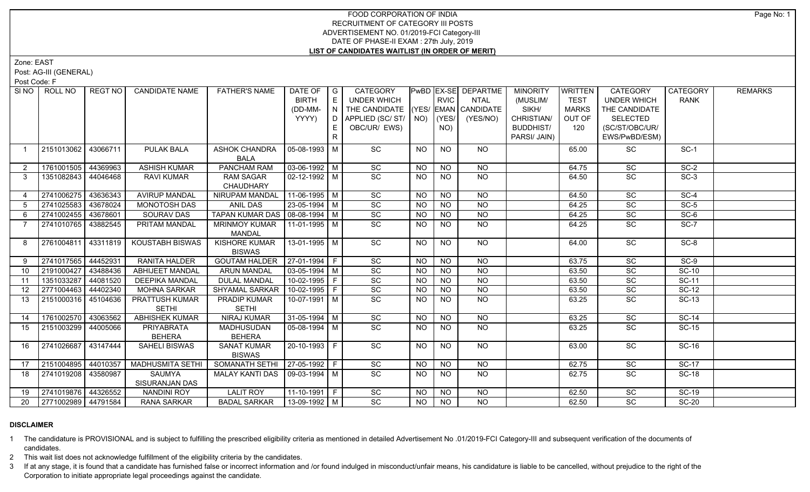# FOOD CORPORATION OF INDIA RECRUITMENT OF CATEGORY III POSTS ADVERTISEMENT NO. 01/2019-FCI Category-III DATE OF PHASE-II EXAM : 27th July, 2019 **LIST OF CANDIDATES WAITLIST (IN ORDER OF MERIT)**

Zone: EAST

Post: AG-III (GENERAL)

Post Code: F

| SINO           | ROLL NO             | <b>REGT NO</b> | <b>CANDIDATE NAME</b>   | <b>FATHER'S NAME</b>                | DATE OF $ G $<br><b>BIRTH</b> | E  | CATEGORY<br>UNDER WHICH            |           | <b>RVIC</b>     | PwBD EX-SE DEPARTME<br><b>NTAL</b> | <b>MINORITY</b><br>(MUSLIM/ | <b>WRITTEN</b><br><b>TEST</b> | <b>CATEGORY</b><br><b>UNDER WHICH</b> | <b>CATEGORY</b><br><b>RANK</b> | <b>REMARKS</b> |
|----------------|---------------------|----------------|-------------------------|-------------------------------------|-------------------------------|----|------------------------------------|-----------|-----------------|------------------------------------|-----------------------------|-------------------------------|---------------------------------------|--------------------------------|----------------|
|                |                     |                |                         |                                     | (DD-MM-                       |    | THE CANDIDATE (YES/ EMAN CANDIDATE |           |                 |                                    | SIKH/                       | <b>MARKS</b>                  | THE CANDIDATE                         |                                |                |
|                |                     |                |                         |                                     | YYYY)                         |    | D   APPLIED (SC/ ST/   NO)         |           | $ $ (YES/       | (YES/NO)                           | CHRISTIAN/                  | OUT OF                        | <b>SELECTED</b>                       |                                |                |
|                |                     |                |                         |                                     |                               | E. | OBC/UR/ EWS)                       |           | NO)             |                                    | <b>BUDDHIST/</b>            | 120                           | (SC/ST/OBC/UR/                        |                                |                |
|                |                     |                |                         |                                     |                               | R  |                                    |           |                 |                                    | PARSI/ JAIN)                |                               | EWS/PwBD/ESM)                         |                                |                |
|                |                     |                |                         |                                     |                               |    |                                    |           |                 |                                    |                             |                               |                                       |                                |                |
| $\overline{1}$ | 2151013062          | 43066711       | <b>PULAK BALA</b>       | <b>ASHOK CHANDRA</b><br><b>BALA</b> | 05-08-1993   M                |    | <b>SC</b>                          | <b>NO</b> | NO              | NO.                                |                             | 65.00                         | SC                                    | $SC-1$                         |                |
| 2              | 1761001505 44369963 |                | <b>ASHISH KUMAR</b>     | <b>PANCHAM RAM</b>                  | $\sqrt{03-06-1992}$ M         |    | SC                                 | <b>NO</b> | <b>NO</b>       | <b>NO</b>                          |                             | 64.75                         | SC                                    | $SC-2$                         |                |
| 3              | 1351082843 44046468 |                | <b>RAVI KUMAR</b>       | <b>RAM SAGAR</b>                    | $02 - 12 - 1992$ M            |    | $\overline{SC}$                    | NO.       | <b>NO</b>       | <b>NO</b>                          |                             |                               | SC                                    | $SC-3$                         |                |
|                |                     |                |                         | <b>CHAUDHARY</b>                    |                               |    |                                    |           |                 |                                    |                             | 64.50                         |                                       |                                |                |
| $\overline{4}$ | 2741006275 43636343 |                | <b>AVIRUP MANDAL</b>    | NIRUPAM MANDAL                      | $11-06-1995$ M                |    | $\overline{SC}$                    | <b>NO</b> | $\overline{NO}$ | <b>NO</b>                          |                             | 64.50                         | $\overline{SC}$                       | $SC-4$                         |                |
| 5 <sup>5</sup> | 2741025583          | 43678024       | MONOTOSH DAS            | ANIL DAS                            | 23-05-1994 M                  |    | SC                                 | <b>NO</b> | <b>NO</b>       | <b>NO</b>                          |                             | 64.25                         | SC                                    | $SC-5$                         |                |
| 6              | 2741002455 43678601 |                | SOURAV DAS              | TAPAN KUMAR DAS   08-08-1994   M    |                               |    | SC                                 | <b>NO</b> | <b>NO</b>       | <b>NO</b>                          |                             | 64.25                         | SC                                    | $SC-6$                         |                |
| 7              | 2741010765 43882545 |                | <b>PRITAM MANDAL</b>    | <b>MRINMOY KUMAR</b>                | 11-01-1995   M                |    | SC                                 | <b>NO</b> | <b>NO</b>       | <b>NO</b>                          |                             | 64.25                         | SC                                    | $SC-7$                         |                |
|                |                     |                |                         | <b>MANDAL</b>                       |                               |    |                                    |           |                 |                                    |                             |                               |                                       |                                |                |
| 8              | 2761004811 43311819 |                | KOUSTABH BISWAS         | <b>KISHORE KUMAR</b>                | 13-01-1995   M                |    | $\overline{SC}$                    | <b>NO</b> | NO.             | NO.                                |                             | 64.00                         | SC                                    | $SC-8$                         |                |
|                |                     |                |                         | <b>BISWAS</b>                       |                               |    |                                    |           |                 |                                    |                             |                               |                                       |                                |                |
| 9              | 2741017565          | 44452931       | <b>RANITA HALDER</b>    | <b>GOUTAM HALDER</b>                | $27-01-1994$ F                |    | $\overline{SC}$                    | <b>NO</b> | NO.             | NO                                 |                             | 63.75                         | SC                                    | $SC-9$                         |                |
| 10             | 2191000427 43488436 |                | <b>ABHIJEET MANDAL</b>  | <b>ARUN MANDAL</b>                  | $\sqrt{03-05-1994}$ M         |    | $\overline{SC}$                    | <b>NO</b> | <b>NO</b>       | <b>NO</b>                          |                             | 63.50                         | $\overline{SC}$                       | $SC-10$                        |                |
| 11             | 1351033287          | 44081520       | <b>DEEPIKA MANDAL</b>   | <b>DULAL MANDAL</b>                 | 10-02-1995 F                  |    | SC                                 | NO.       | <b>NO</b>       | <b>NO</b>                          |                             | 63.50                         | SC                                    | SC-11                          |                |
| 12             | 2771004463          | 44402340       | <b>MOHNA SARKAR</b>     | <b>SHYAMAL SARKAR</b>               | $10-02-1995$ F                |    | $\overline{SC}$                    | <b>NO</b> | $N$ O           | $N$ O                              |                             | 63.50                         | $\overline{SC}$                       | $SC-12$                        |                |
| 13             | 2151000316 45104636 |                | PRATTUSH KUMAR          | <b>PRADIP KUMAR</b>                 | $10-07-1991$ M                |    | $\overline{SC}$                    | NO.       | <b>NO</b>       | NO                                 |                             | 63.25                         | $\overline{SC}$                       | $SC-13$                        |                |
|                |                     |                | <b>SETHI</b>            | <b>SETHI</b>                        |                               |    |                                    |           |                 |                                    |                             |                               |                                       |                                |                |
| 14             | 1761002570 43063562 |                | <b>ABHISHEK KUMAR</b>   | <b>NIRAJ KUMAR</b>                  | $31-05-1994$ M                |    | SC                                 | <b>NO</b> | <b>NO</b>       | $N$ O                              |                             | 63.25                         | SC                                    | $SC-14$                        |                |
| 15             | 2151003299 44005066 |                | <b>PRIYABRATA</b>       | <b>MADHUSUDAN</b>                   | 05-08-1994   M                |    | $\overline{SC}$                    | NO.       | <b>NO</b>       | NO                                 |                             | 63.25                         | SC                                    | <b>SC-15</b>                   |                |
|                |                     |                | <b>BEHERA</b>           | <b>BEHERA</b>                       |                               |    |                                    |           |                 |                                    |                             |                               |                                       |                                |                |
| 16             | 2741026687          | 43147444       | <b>SAHELI BISWAS</b>    | <b>SANAT KUMAR</b>                  | 20-10-1993 F                  |    | SC                                 | NO.       | <b>NO</b>       | <b>NO</b>                          |                             | 63.00                         | SC                                    | SC-16                          |                |
|                |                     |                |                         | <b>BISWAS</b>                       |                               |    |                                    |           |                 |                                    |                             |                               |                                       |                                |                |
| 17             | 2151004895 44010357 |                | <b>MADHUSMITA SETHI</b> | SOMANATH SETHI                      | $ 27-05-1992 F$               |    | SC                                 | <b>NO</b> | $\overline{NO}$ | $\overline{NQ}$                    |                             | 62.75                         | $\overline{SC}$                       | $SC-17$                        |                |
| 18             | 2741019208 43580987 |                | <b>SAUMYA</b>           | <b>MALAY KANTI DAS</b>              | 09-03-1994   M                |    | $\overline{SC}$                    | NO.       | <b>NO</b>       | <b>NO</b>                          |                             | 62.75                         | SC                                    | <b>SC-18</b>                   |                |
|                |                     |                | SISURANJAN DAS          |                                     |                               |    |                                    |           |                 |                                    |                             |                               |                                       |                                |                |
| 19             | 2741019876 44326552 |                | <b>NANDINI ROY</b>      | <b>LALIT ROY</b>                    | $11-10-1991$ F                |    | $\overline{SC}$                    | NO        | <b>NO</b>       | <b>NO</b>                          |                             | 62.50                         | SC                                    | $SC-19$                        |                |
| 20             | 2771002989 44791584 |                | <b>RANA SARKAR</b>      | <b>BADAL SARKAR</b>                 | $13-09-1992$ M                |    | $\overline{SC}$                    | NO        | NO              | <b>NO</b>                          |                             | 62.50                         | <b>SC</b>                             | <b>SC-20</b>                   |                |

# **DISCLAIMER**

1 The candidature is PROVISIONAL and is subject to fulfilling the prescribed eligibility criteria as mentioned in detailed Advertisement No .01/2019-FCI Category-III and subsequent verification of the documents of candidates.

2 This wait list does not acknowledge fulfillment of the eligibility criteria by the candidates.

3 If at any stage, it is found that a candidate has furnished false or incorrect information and /or found indulged in misconduct/unfair means, his candidature is liable to be cancelled, without prejudice to the right of t Corporation to initiate appropriate legal proceedings against the candidate.

Page No: 1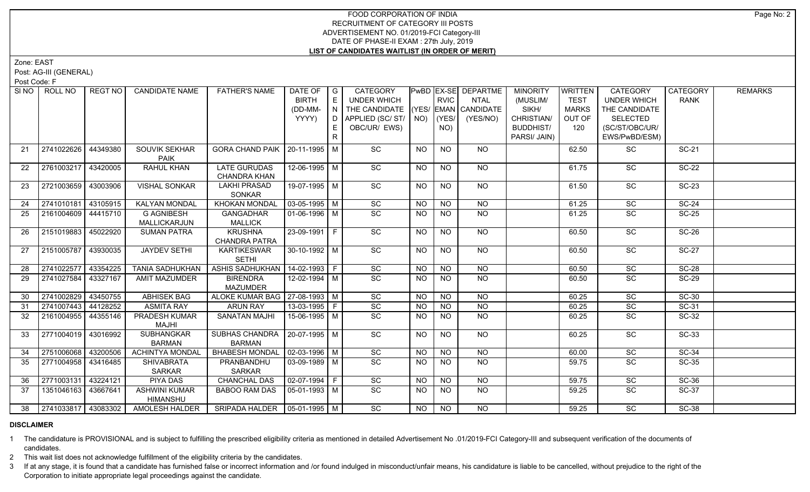# FOOD CORPORATION OF INDIA RECRUITMENT OF CATEGORY III POSTS ADVERTISEMENT NO. 01/2019-FCI Category-III DATE OF PHASE-II EXAM : 27th July, 2019 **LIST OF CANDIDATES WAITLIST (IN ORDER OF MERIT)**

Zone: EAST

Post: AG-III (GENERAL)

Post Code: F

| SI NO | ROLL NO             | REGT NO   | <b>CANDIDATE NAME</b>            | <b>FATHER'S NAME</b>               | DATE OF               | $\overline{\phantom{a}}$ G | CATEGORY                           |                 |                | PwBD EX-SE DEPARTME | <b>MINORITY</b>  | WRITTEN      | CATEGORY           | CATEGORY     | <b>REMARKS</b> |
|-------|---------------------|-----------|----------------------------------|------------------------------------|-----------------------|----------------------------|------------------------------------|-----------------|----------------|---------------------|------------------|--------------|--------------------|--------------|----------------|
|       |                     |           |                                  |                                    | <b>BIRTH</b>          | E                          | UNDER WHICH                        |                 | <b>RVIC</b>    | NTAL                | (MUSLIM/         | <b>TEST</b>  | <b>UNDER WHICH</b> | <b>RANK</b>  |                |
|       |                     |           |                                  |                                    | (DD-MM-               | N I                        | THE CANDIDATE (YES/ EMAN CANDIDATE |                 |                |                     | SIKH/            | <b>MARKS</b> | THE CANDIDATE      |              |                |
|       |                     |           |                                  |                                    | YYYY)                 |                            | $D$ $APPLIED (SC/ ST/$ $NO)$       |                 | (YES/          | (YES/NO)            | CHRISTIAN/       | OUT OF       | <b>SELECTED</b>    |              |                |
|       |                     |           |                                  |                                    |                       |                            | OBC/UR/ EWS)                       |                 | NO)            |                     | <b>BUDDHIST/</b> | 120          | (SC/ST/OBC/UR/     |              |                |
|       |                     |           |                                  |                                    |                       | R                          |                                    |                 |                |                     | PARSI/ JAIN)     |              | EWS/PwBD/ESM)      |              |                |
| 21    | 2741022626          | 44349380  | SOUVIK SEKHAR<br><b>PAIK</b>     | GORA CHAND PAIK   20-11-1995   M   |                       |                            | SC                                 | <b>NO</b>       | <b>NO</b>      | <b>NO</b>           |                  | 62.50        | SC                 | <b>SC-21</b> |                |
| 22    | 2761003217 43420005 |           | RAHUL KHAN                       | <b>LATE GURUDAS</b>                | 12-06-1995 M          |                            | SC                                 | NO              | NO.            | NO.                 |                  | 61.75        | SC                 | <b>SC-22</b> |                |
|       |                     |           |                                  | <b>CHANDRA KHAN</b>                |                       |                            |                                    |                 |                |                     |                  |              |                    |              |                |
| 23    | 2721003659 43003906 |           | <b>VISHAL SONKAR</b>             | <b>LAKHI PRASAD</b>                | 19-07-1995 M          |                            | $\overline{SC}$                    | NO              | <b>NO</b>      | NO                  |                  | 61.50        | SC                 | <b>SC-23</b> |                |
|       |                     |           |                                  | SONKAR                             |                       |                            |                                    |                 |                |                     |                  |              |                    |              |                |
| 24    | 2741010181          | 143105915 | <b>KALYAN MONDAL</b>             | <b>KHOKAN MONDAL</b>               | $\sqrt{03-05-1995}$ M |                            | $\overline{SC}$                    | $\overline{NO}$ | N <sub>O</sub> | N <sub>O</sub>      |                  | 61.25        | $\overline{SC}$    | $SC-24$      |                |
| 25    | 2161004609 44415710 |           | <b>G AGNIBESH</b>                | <b>GANGADHAR</b>                   | 01-06-1996   M        |                            | $\overline{SC}$                    | <b>NO</b>       | <b>NO</b>      | <b>NO</b>           |                  | 61.25        | SC                 | <b>SC-25</b> |                |
|       |                     |           | MALLICKARJUN                     | <b>MALLICK</b>                     |                       |                            |                                    |                 |                |                     |                  |              |                    |              |                |
| -26   | 2151019883 45022920 |           | <b>SUMAN PATRA</b>               | <b>KRUSHNA</b><br>CHANDRA PATRA    | 23-09-1991 F          |                            | $\overline{SC}$                    | NO              | NO             | NO                  |                  | 60.50        | $\overline{SC}$    | $SC-26$      |                |
| 27    | 2151005787 43930035 |           | <b>JAYDEV SETHI</b>              | <b>KARTIKESWAR</b>                 | 30-10-1992 M          |                            | SC                                 | <b>NO</b>       | NO             | NO                  |                  | 60.50        | SC                 | <b>SC-27</b> |                |
|       |                     |           |                                  | <b>SETHI</b>                       |                       |                            |                                    |                 |                |                     |                  |              |                    |              |                |
| 28    | 2741022577 43354225 |           | <b>TANIA SADHUKHAN</b>           | ASHIS SADHUKHAN   14-02-1993   F   |                       |                            | SC                                 | <b>NO</b>       | <b>NO</b>      | <b>NO</b>           |                  | 60.50        | SC                 | <b>SC-28</b> |                |
| 29    | 2741027584 43327167 |           | <b>AMIT MAZUMDER</b>             | <b>BIRENDRA</b><br><b>MAZUMDER</b> | 12-02-1994 M          |                            | SC                                 | <b>NO</b>       | <b>NO</b>      | <b>NO</b>           |                  | 60.50        | SC                 | <b>SC-29</b> |                |
| 30    | 2741002829          | 43450755  | <b>ABHISEK BAG</b>               | ALOKE KUMAR BAG   27-08-1993   M   |                       |                            | SC                                 | NO              | <b>NO</b>      | $\overline{NO}$     |                  | 60.25        | SC                 | $SC-30$      |                |
| 31    | 2741007443          | 44128252  | <b>ASMITA RAY</b>                | <b>ARUN RAY</b>                    | 13-03-1995 F          |                            | SC                                 | <b>NO</b>       | <b>NO</b>      | <b>NO</b>           |                  | 60.25        | SC                 | SC-31        |                |
| 32    | 2161004955 44355146 |           | PRADESH KUMAR                    | <b>SANATAN MAJHI</b>               | 15-06-1995 M          |                            | SC                                 | <b>NO</b>       | <b>NO</b>      | <b>NO</b>           |                  | 60.25        | $\overline{SC}$    | SC-32        |                |
|       |                     |           | MAJHI                            |                                    |                       |                            |                                    |                 |                |                     |                  |              |                    |              |                |
| 33    | 2771004019 43016992 |           | SUBHANGKAR                       | SUBHAS CHANDRA   20-07-1995   M    |                       |                            | $\overline{SC}$                    | NO              | NO.            | NO                  |                  | 60.25        | $\overline{SC}$    | $SC-33$      |                |
|       |                     |           | <b>BARMAN</b>                    | <b>BARMAN</b>                      |                       |                            |                                    |                 |                |                     |                  |              |                    |              |                |
| 34    | 2751006068          | 43200506  | <b>ACHINTYA MONDAL</b>           | BHABESH MONDAL   02-03-1996   M    |                       |                            | SC                                 | <b>NO</b>       | <b>NO</b>      | $N$ <sup>O</sup>    |                  | 60.00        | $\overline{SC}$    | $SC-34$      |                |
| 35    | 2771004958          | 43416485  | <b>SHIVABRATA</b>                | PRANBANDHU                         | $\sqrt{03-09-1989}$ M |                            | $\overline{SC}$                    | <b>NO</b>       | <b>NO</b>      | <b>NO</b>           |                  | 59.75        | $\overline{SC}$    | $SC-35$      |                |
|       |                     |           | <b>SARKAR</b>                    | <b>SARKAR</b>                      |                       |                            |                                    |                 |                |                     |                  |              |                    |              |                |
| 36    | 2771003131 43224121 |           | PIYA DAS                         | <b>CHANCHAL DAS</b>                | 02-07-1994   F        |                            | SC                                 | <b>NO</b>       | <b>NO</b>      | <b>NO</b>           |                  | 59.75        | SC                 | SC-36        |                |
| 37    | 1351046163 43667641 |           | <b>ASHWINI KUMAR</b><br>HIMANSHU | <b>BABOO RAM DAS</b>               | 05-01-1993   M        |                            | $\overline{SC}$                    | <b>NO</b>       | <b>NO</b>      | NO                  |                  | 59.25        | SC                 | <b>SC-37</b> |                |
| 38    | 2741033817 43083302 |           | <b>AMOLESH HALDER</b>            | SRIPADA HALDER   05-01-1995   M    |                       |                            | SC                                 | <b>NO</b>       | <b>NO</b>      | <b>NO</b>           |                  | 59.25        | <b>SC</b>          | <b>SC-38</b> |                |
|       |                     |           |                                  |                                    |                       |                            |                                    |                 |                |                     |                  |              |                    |              |                |

### **DISCLAIMER**

1 The candidature is PROVISIONAL and is subject to fulfilling the prescribed eligibility criteria as mentioned in detailed Advertisement No .01/2019-FCI Category-III and subsequent verification of the documents of candidates.

2 This wait list does not acknowledge fulfillment of the eligibility criteria by the candidates.

3 If at any stage, it is found that a candidate has furnished false or incorrect information and /or found indulged in misconduct/unfair means, his candidature is liable to be cancelled, without prejudice to the right of t Corporation to initiate appropriate legal proceedings against the candidate.

Page No: 2